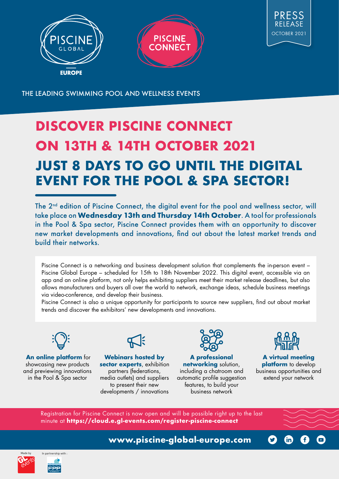



THE LEADING SWIMMING POOL AND WELLNESS EVENTS

# **DISCOVER PISCINE CONNECT ON 13TH & 14TH OCTOBER 2021 JUST 8 DAYS TO GO UNTIL THE DIGITAL EVENT FOR THE POOL & SPA SECTOR!**

The 2<sup>nd</sup> edition of Piscine Connect, the digital event for the pool and wellness sector, will take place on **Wednesday 13th and Thursday 14th October**. A tool for professionals in the Pool & Spa sector, Piscine Connect provides them with an opportunity to discover new market developments and innovations, find out about the latest market trends and build their networks.

Piscine Connect is a networking and business development solution that complements the in-person event – Piscine Global Europe – scheduled for 15th to 18th November 2022. This digital event, accessible via an app and an online platform, not only helps exhibiting suppliers meet their market release deadlines, but also allows manufacturers and buyers all over the world to network, exchange ideas, schedule business meetings via video-conference, and develop their business.

Piscine Connect is also a unique opportunity for participants to source new suppliers, find out about market trends and discover the exhibitors' new developments and innovations.



**An online platform** for showcasing new products and previewing innovations in the Pool & Spa sector



**Webinars hosted by**  sector experts, exhibition partners (federations, media outlets) and suppliers to present their new developments / innovations



**A professional networking** solution, including a chatroom and automatic profile suggestion features, to build your business network



**A virtual meeting platform** to develop business opportunities and extend your network

**fin** 

 $\left( f\right)$ 

 $\bigodot$ 

Registration for Piscine Connect is now open and will be possible right up to the last minute at **https://cloud.e.gl-events.com/register-piscine-connect**

**www.piscine-global-europe.com**

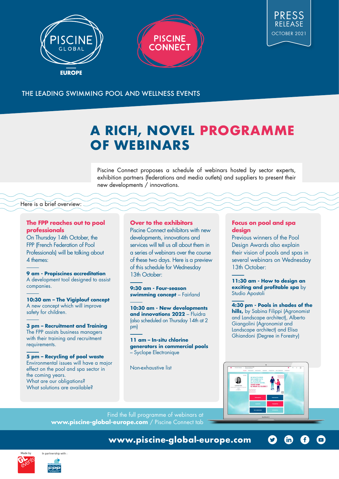



#### THE LEADING SWIMMING POOL AND WELLNESS EVENTS

## **A RICH, NOVEL PROGRAMME OF WEBINARS**

Piscine Connect proposes a schedule of webinars hosted by sector experts, exhibition partners (federations and media outlets) and suppliers to present their new developments / innovations.

#### Here is a brief overview:

#### **The FPP reaches out to pool professionals**

On Thursday 14th October, the FPP (French Federation of Pool Professionals) will be talking about 4 themes:

**9 am - Propiscines accreditation**  A development tool designed to assist companies.

**10:30 am – The Vigiplouf concept**  A new concept which will improve safety for children.

**3 pm – Recruitment and Training** The FPP assists business managers with their training and recruitment requirements.

**5 pm – Recycling of pool waste**  Environmental issues will have a major effect on the pool and spa sector in the coming years. What are our obligations? What solutions are available?

#### **Over to the exhibitors**

Piscine Connect exhibitors with new developments, innovations and services will tell us all about them in a series of webinars over the course of these two days. Here is a preview of this schedule for Wednesday 13th October:

**9:30 am - Four-season swimming concept** – Fairland

**10:30 am - New developments and innovations 2022** – Fluidra (also scheduled on Thursday 14th at 2 pm)

**11 am – In-situ chlorine generators in commercial pools**  – Syclope Electronique

Non-exhaustive list

#### **Focus on pool and spa design**

Previous winners of the Pool Design Awards also explain their vision of pools and spas in several webinars on Wednesday 13th October:

**11:30 am - How to design an exciting and profitable spa** by Studio Apostoli

**4:30 pm - Pools in shades of the hills,** by Sabina Filippi (Agronomist and Landscape architect), Alberto Giangolini (Agronomist and Landscape architect) and Elisa Ghiandoni (Degree in Forestry)



 $\boldsymbol{\Omega}$ 

 $\mathsf{\small (in)}$ 

Œ

 $\bigodot$ 

Find the full programme of webinars at **www.piscine-global-europe.com** / Piscine Connect tab



**www.piscine-global-europe.com**